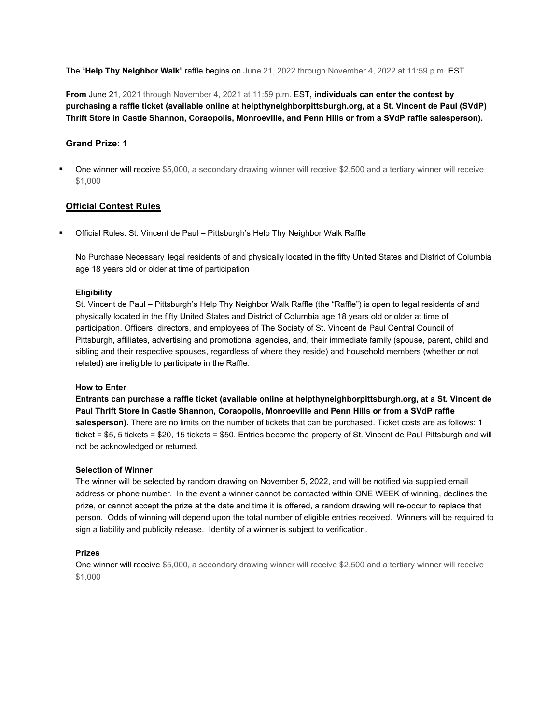The "**Help Thy Neighbor Walk**" raffle begins on June 21, 2022 through November 4, 2022 at 11:59 p.m. EST.

**From** June 21, 2021 through November 4, 2021 at 11:59 p.m. EST**, individuals can enter the contest by purchasing a raffle ticket (available online at helpthyneighborpittsburgh.org, at a St. Vincent de Paul (SVdP) Thrift Store in Castle Shannon, Coraopolis, Monroeville, and Penn Hills or from a SVdP raffle salesperson).**

## **Grand Prize: 1**

 One winner will receive \$5,000, a secondary drawing winner will receive \$2,500 and a tertiary winner will receive \$1,000

# **Official Contest Rules**

Official Rules: St. Vincent de Paul – Pittsburgh's Help Thy Neighbor Walk Raffle

No Purchase Necessary legal residents of and physically located in the fifty United States and District of Columbia age 18 years old or older at time of participation

### **Eligibility**

St. Vincent de Paul – Pittsburgh's Help Thy Neighbor Walk Raffle (the "Raffle") is open to legal residents of and physically located in the fifty United States and District of Columbia age 18 years old or older at time of participation. Officers, directors, and employees of The Society of St. Vincent de Paul Central Council of Pittsburgh, affiliates, advertising and promotional agencies, and, their immediate family (spouse, parent, child and sibling and their respective spouses, regardless of where they reside) and household members (whether or not related) are ineligible to participate in the Raffle.

### **How to Enter**

**Entrants can purchase a raffle ticket (available online at helpthyneighborpittsburgh.org, at a St. Vincent de Paul Thrift Store in Castle Shannon, Coraopolis, Monroeville and Penn Hills or from a SVdP raffle**  salesperson). There are no limits on the number of tickets that can be purchased. Ticket costs are as follows: 1 ticket = \$5, 5 tickets = \$20, 15 tickets = \$50. Entries become the property of St. Vincent de Paul Pittsburgh and will not be acknowledged or returned.

### **Selection of Winner**

The winner will be selected by random drawing on November 5, 2022, and will be notified via supplied email address or phone number. In the event a winner cannot be contacted within ONE WEEK of winning, declines the prize, or cannot accept the prize at the date and time it is offered, a random drawing will re-occur to replace that person. Odds of winning will depend upon the total number of eligible entries received. Winners will be required to sign a liability and publicity release. Identity of a winner is subject to verification.

### **Prizes**

One winner will receive \$5,000, a secondary drawing winner will receive \$2,500 and a tertiary winner will receive \$1,000